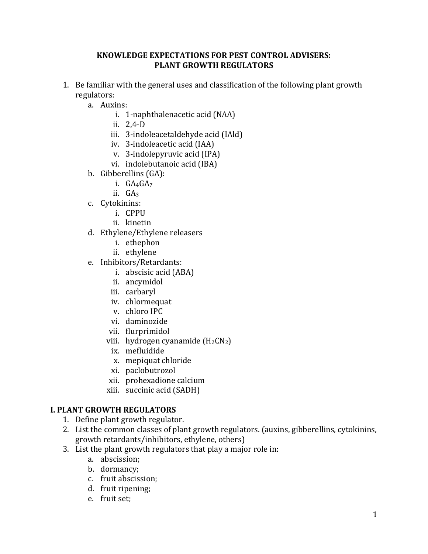#### **KNOWLEDGE EXPECTATIONS FOR PEST CONTROL ADVISERS: PLANT GROWTH REGULATORS**

- 1. Be familiar with the general uses and classification of the following plant growth regulators:
	- a. Auxins:
		- i. 1-naphthalenacetic acid (NAA)
		- ii. 2,4-D
		- iii. 3-indoleacetaldehyde acid (IAld)
		- iv. 3-indoleacetic acid (IAA)
		- v. 3-indolepyruvic acid (IPA)
		- vi. indolebutanoic acid (IBA)
	- b. Gibberellins (GA):
		- i.  $GA_4GA_7$
		- ii. GA3
	- c. Cytokinins:
		- i. CPPU
		- ii. kinetin
	- d. Ethylene/Ethylene releasers
		- i. ethephon
		- ii. ethylene
	- e. Inhibitors/Retardants:
		- i. abscisic acid (ABA)
		- ii. ancymidol
		- iii. carbaryl
		- iv. chlormequat
		- v. chloro IPC
		- vi. daminozide
		- vii. flurprimidol
		- viii. hydrogen cyanamide  $(H_2CN_2)$ 
			- ix. mefluidide
			- x. mepiquat chloride
			- xi. paclobutrozol
		- xii. prohexadione calcium
		- xiii. succinic acid (SADH)

#### **I. PLANT GROWTH REGULATORS**

- 1. Define plant growth regulator.
- 2. List the common classes of plant growth regulators. (auxins, gibberellins, cytokinins, growth retardants/inhibitors, ethylene, others)
- 3. List the plant growth regulators that play a major role in:
	- a. abscission;
	- b. dormancy;
	- c. fruit abscission;
	- d. fruit ripening;
	- e. fruit set;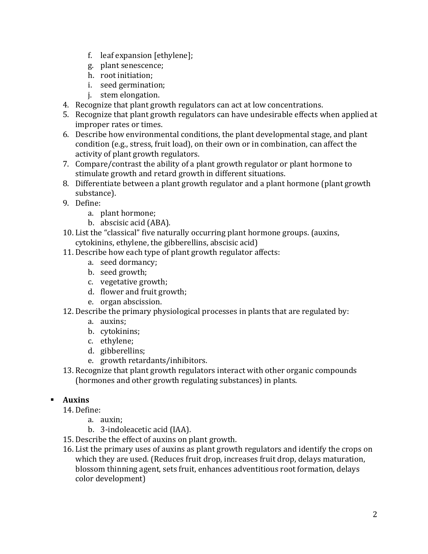- f. leaf expansion [ethylene];
- g. plant senescence;
- h. root initiation;
- i. seed germination;
- j. stem elongation.
- 4. Recognize that plant growth regulators can act at low concentrations.
- 5. Recognize that plant growth regulators can have undesirable effects when applied at improper rates or times.
- 6. Describe how environmental conditions, the plant developmental stage, and plant condition (e.g., stress, fruit load), on their own or in combination, can affect the activity of plant growth regulators.
- 7. Compare/contrast the ability of a plant growth regulator or plant hormone to stimulate growth and retard growth in different situations.
- 8. Differentiate between a plant growth regulator and a plant hormone (plant growth substance).
- 9. Define:
	- a. plant hormone;
	- b. abscisic acid (ABA).
- 10. List the "classical" five naturally occurring plant hormone groups. (auxins, cytokinins, ethylene, the gibberellins, abscisic acid)
- 11. Describe how each type of plant growth regulator affects:
	- a. seed dormancy;
	- b. seed growth;
	- c. vegetative growth;
	- d. flower and fruit growth;
	- e. organ abscission.
- 12. Describe the primary physiological processes in plants that are regulated by:
	- a. auxins;
	- b. cytokinins;
	- c. ethylene;
	- d. gibberellins;
	- e. growth retardants/inhibitors.
- 13. Recognize that plant growth regulators interact with other organic compounds (hormones and other growth regulating substances) in plants.

# **Auxins**

14. Define:

- a. auxin;
- b. 3-indoleacetic acid (IAA).
- 15. Describe the effect of auxins on plant growth.
- 16. List the primary uses of auxins as plant growth regulators and identify the crops on which they are used. (Reduces fruit drop, increases fruit drop, delays maturation, blossom thinning agent, sets fruit, enhances adventitious root formation, delays color development)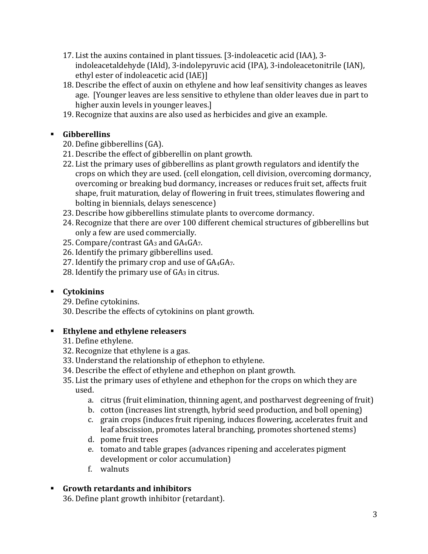- 17. List the auxins contained in plant tissues. [3-indoleacetic acid (IAA), 3 indoleacetaldehyde (IAld), 3-indolepyruvic acid (IPA), 3-indoleacetonitrile (IAN), ethyl ester of indoleacetic acid (IAE)]
- 18. Describe the effect of auxin on ethylene and how leaf sensitivity changes as leaves age. [Younger leaves are less sensitive to ethylene than older leaves due in part to higher auxin levels in younger leaves.]
- 19. Recognize that auxins are also used as herbicides and give an example.

# **Gibberellins**

- 20. Define gibberellins (GA).
- 21. Describe the effect of gibberellin on plant growth.
- 22. List the primary uses of gibberellins as plant growth regulators and identify the crops on which they are used. (cell elongation, cell division, overcoming dormancy, overcoming or breaking bud dormancy, increases or reduces fruit set, affects fruit shape, fruit maturation, delay of flowering in fruit trees, stimulates flowering and bolting in biennials, delays senescence)
- 23. Describe how gibberellins stimulate plants to overcome dormancy.
- 24. Recognize that there are over 100 different chemical structures of gibberellins but only a few are used commercially.
- 25. Compare/contrast  $GA_3$  and  $GA_4GA_7$ .
- 26. Identify the primary gibberellins used.
- 27. Identify the primary crop and use of  $GA_4GA_7$ .
- 28. Identify the primary use of  $GA_3$  in citrus.

# **Cytokinins**

29. Define cytokinins.

30. Describe the effects of cytokinins on plant growth.

# **Ethylene and ethylene releasers**

- 31. Define ethylene.
- 32. Recognize that ethylene is a gas.
- 33. Understand the relationship of ethephon to ethylene.
- 34. Describe the effect of ethylene and ethephon on plant growth.
- 35. List the primary uses of ethylene and ethephon for the crops on which they are used.
	- a. citrus (fruit elimination, thinning agent, and postharvest degreening of fruit)
	- b. cotton (increases lint strength, hybrid seed production, and boll opening)
	- c. grain crops (induces fruit ripening, induces flowering, accelerates fruit and leaf abscission, promotes lateral branching, promotes shortened stems)
	- d. pome fruit trees
	- e. tomato and table grapes (advances ripening and accelerates pigment development or color accumulation)
	- f. walnuts

# **Growth retardants and inhibitors**

36. Define plant growth inhibitor (retardant).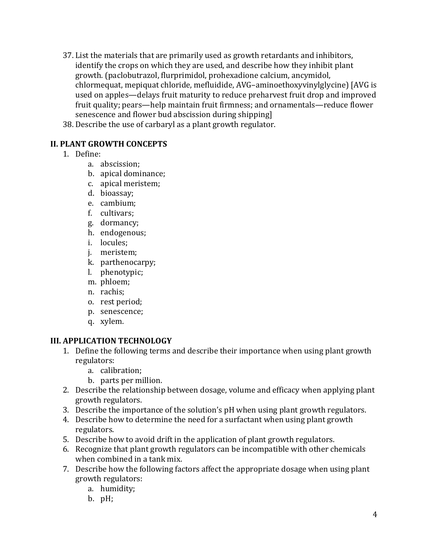- 37. List the materials that are primarily used as growth retardants and inhibitors, identify the crops on which they are used, and describe how they inhibit plant growth. (paclobutrazol, flurprimidol, prohexadione calcium, ancymidol, chlormequat, mepiquat chloride, mefluidide, AVG–aminoethoxyvinylglycine) [AVG is used on apples—delays fruit maturity to reduce preharvest fruit drop and improved fruit quality; pears—help maintain fruit firmness; and ornamentals—reduce flower senescence and flower bud abscission during shipping]
- 38. Describe the use of carbaryl as a plant growth regulator.

#### **II. PLANT GROWTH CONCEPTS**

- 1. Define:
	- a. abscission;
	- b. apical dominance;
	- c. apical meristem;
	- d. bioassay;
	- e. cambium;
	- f. cultivars;
	- g. dormancy;
	- h. endogenous;
	- i. locules;
	- j. meristem;
	- k. parthenocarpy;
	- l. phenotypic;
	- m. phloem;
	- n. rachis;
	- o. rest period;
	- p. senescence;
	- q. xylem.

#### **III. APPLICATION TECHNOLOGY**

- 1. Define the following terms and describe their importance when using plant growth regulators:
	- a. calibration;
	- b. parts per million.
- 2. Describe the relationship between dosage, volume and efficacy when applying plant growth regulators.
- 3. Describe the importance of the solution's pH when using plant growth regulators.
- 4. Describe how to determine the need for a surfactant when using plant growth regulators.
- 5. Describe how to avoid drift in the application of plant growth regulators.
- 6. Recognize that plant growth regulators can be incompatible with other chemicals when combined in a tank mix.
- 7. Describe how the following factors affect the appropriate dosage when using plant growth regulators:
	- a. humidity;
	- b. pH;